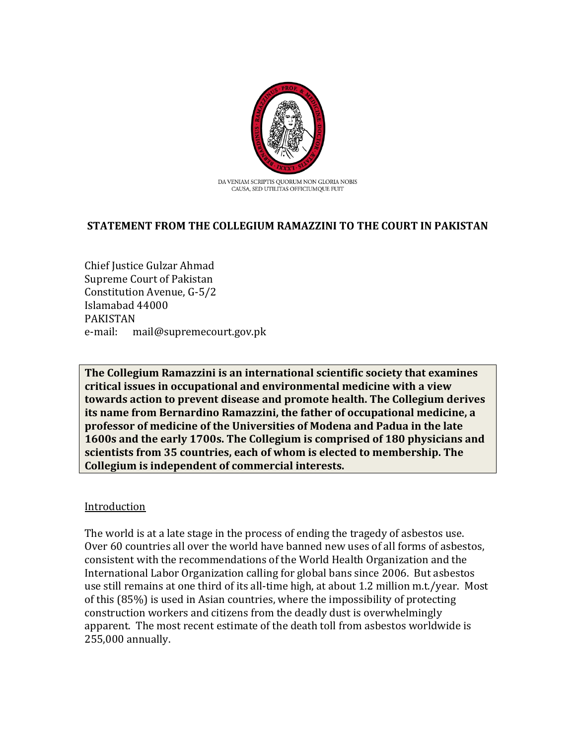

# **STATEMENT FROM THE COLLEGIUM RAMAZZINI TO THE COURT IN PAKISTAN**

Chief Justice Gulzar Ahmad Supreme Court of Pakistan Constitution Avenue, G-5/2 Islamabad 44000 PAKISTAN e-mail: mail@supremecourt.gov.pk

**The Collegium Ramazzini is an international scientific society that examines critical issues in occupational and environmental medicine with a view towards action to prevent disease and promote health. The Collegium derives its name from Bernardino Ramazzini, the father of occupational medicine, a professor of medicine of the Universities of Modena and Padua in the late 1600s and the early 1700s. The Collegium is comprised of 180 physicians and scientists from 35 countries, each of whom is elected to membership. The Collegium is independent of commercial interests.**

#### **Introduction**

The world is at a late stage in the process of ending the tragedy of asbestos use. Over 60 countries all over the world have banned new uses of all forms of asbestos, consistent with the recommendations of the World Health Organization and the International Labor Organization calling for global bans since 2006. But asbestos use still remains at one third of its all-time high, at about 1.2 million m.t./year. Most of this (85%) is used in Asian countries, where the impossibility of protecting construction workers and citizens from the deadly dust is overwhelmingly apparent. The most recent estimate of the death toll from asbestos worldwide is 255,000 annually.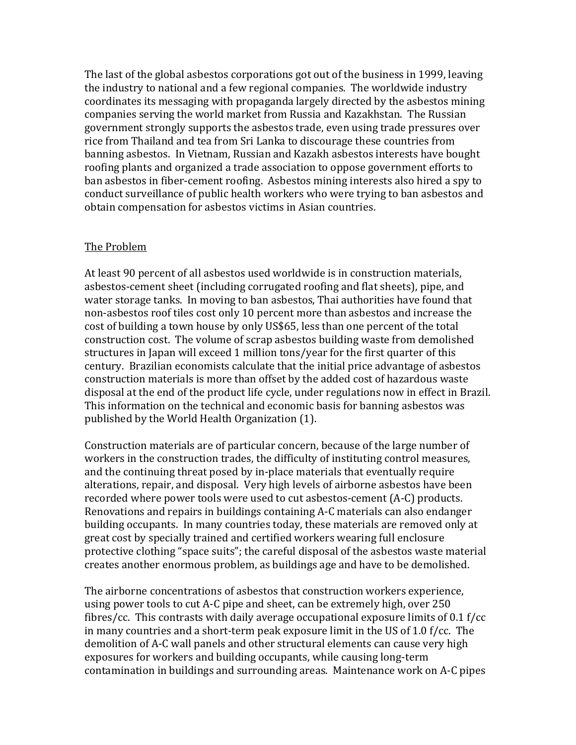The last of the global asbestos corporations got out of the business in 1999, leaving the industry to national and a few regional companies. The worldwide industry coordinates its messaging with propaganda largely directed by the asbestos mining companies serving the world market from Russia and Kazakhstan. The Russian government strongly supports the asbestos trade, even using trade pressures over rice from Thailand and tea from Sri Lanka to discourage these countries from banning asbestos. In Vietnam, Russian and Kazakh asbestos interests have bought roofing plants and organized a trade association to oppose government efforts to ban asbestos in fiber-cement roofing. Asbestos mining interests also hired a spy to conduct surveillance of public health workers who were trying to ban asbestos and obtain compensation for asbestos victims in Asian countries.

#### The Problem

At least 90 percent of all asbestos used worldwide is in construction materials, asbestos-cement sheet (including corrugated roofing and flat sheets), pipe, and water storage tanks. In moving to ban asbestos, Thai authorities have found that non-asbestos roof tiles cost only 10 percent more than asbestos and increase the cost of building a town house by only US\$65, less than one percent of the total construction cost. The volume of scrap asbestos building waste from demolished structures in Japan will exceed 1 million tons/year for the first quarter of this century. Brazilian economists calculate that the initial price advantage of asbestos construction materials is more than offset by the added cost of hazardous waste disposal at the end of the product life cycle, under regulations now in effect in Brazil. This information on the technical and economic basis for banning asbestos was published by the World Health Organization (1).

Construction materials are of particular concern, because of the large number of workers in the construction trades, the difficulty of instituting control measures, and the continuing threat posed by in-place materials that eventually require alterations, repair, and disposal. Very high levels of airborne asbestos have been recorded where power tools were used to cut asbestos-cement (A-C) products. Renovations and repairs in buildings containing A-C materials can also endanger building occupants. In many countries today, these materials are removed only at great cost by specially trained and certified workers wearing full enclosure protective clothing "space suits"; the careful disposal of the asbestos waste material creates another enormous problem, as buildings age and have to be demolished.

The airborne concentrations of asbestos that construction workers experience, using power tools to cut A-C pipe and sheet, can be extremely high, over 250 fibres/cc. This contrasts with daily average occupational exposure limits of 0.1 f/cc in many countries and a short-term peak exposure limit in the US of 1.0 f/cc. The demolition of A-C wall panels and other structural elements can cause very high exposures for workers and building occupants, while causing long-term contamination in buildings and surrounding areas. Maintenance work on A-C pipes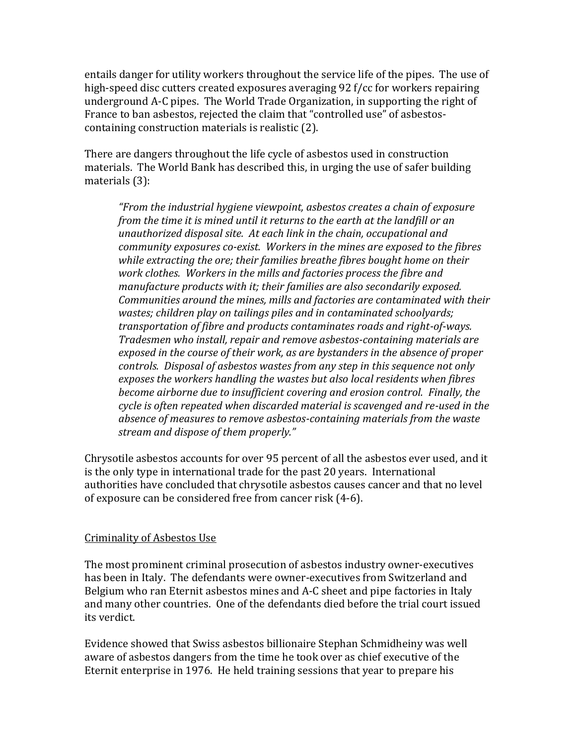entails danger for utility workers throughout the service life of the pipes. The use of high-speed disc cutters created exposures averaging 92 f/cc for workers repairing underground A-C pipes. The World Trade Organization, in supporting the right of France to ban asbestos, rejected the claim that "controlled use" of asbestoscontaining construction materials is realistic (2).

There are dangers throughout the life cycle of asbestos used in construction materials. The World Bank has described this, in urging the use of safer building materials (3):

*"From the industrial hygiene viewpoint, asbestos creates a chain of exposure from the time it is mined until it returns to the earth at the landfill or an unauthorized disposal site. At each link in the chain, occupational and community exposures co-exist. Workers in the mines are exposed to the fibres while extracting the ore; their families breathe fibres bought home on their work clothes. Workers in the mills and factories process the fibre and manufacture products with it; their families are also secondarily exposed. Communities around the mines, mills and factories are contaminated with their wastes; children play on tailings piles and in contaminated schoolyards; transportation of fibre and products contaminates roads and right-of-ways. Tradesmen who install, repair and remove asbestos-containing materials are exposed in the course of their work, as are bystanders in the absence of proper controls. Disposal of asbestos wastes from any step in this sequence not only exposes the workers handling the wastes but also local residents when fibres become airborne due to insufficient covering and erosion control. Finally, the cycle is often repeated when discarded material is scavenged and re-used in the absence of measures to remove asbestos-containing materials from the waste stream and dispose of them properly."*

Chrysotile asbestos accounts for over 95 percent of all the asbestos ever used, and it is the only type in international trade for the past 20 years. International authorities have concluded that chrysotile asbestos causes cancer and that no level of exposure can be considered free from cancer risk (4-6).

## Criminality of Asbestos Use

The most prominent criminal prosecution of asbestos industry owner-executives has been in Italy. The defendants were owner-executives from Switzerland and Belgium who ran Eternit asbestos mines and A-C sheet and pipe factories in Italy and many other countries. One of the defendants died before the trial court issued its verdict.

Evidence showed that Swiss asbestos billionaire Stephan Schmidheiny was well aware of asbestos dangers from the time he took over as chief executive of the Eternit enterprise in 1976. He held training sessions that year to prepare his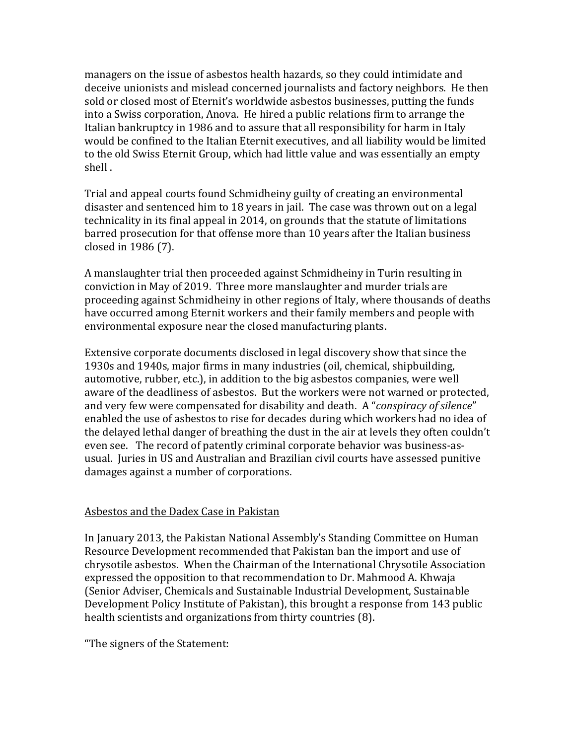managers on the issue of asbestos health hazards, so they could intimidate and deceive unionists and mislead concerned journalists and factory neighbors. He then sold or closed most of Eternit's worldwide asbestos businesses, putting the funds into a Swiss corporation, Anova. He hired a public relations firm to arrange the Italian bankruptcy in 1986 and to assure that all responsibility for harm in Italy would be confined to the Italian Eternit executives, and all liability would be limited to the old Swiss Eternit Group, which had little value and was essentially an empty shell .

Trial and appeal courts found Schmidheiny guilty of creating an environmental disaster and sentenced him to 18 years in jail. The case was thrown out on a legal technicality in its final appeal in 2014, on grounds that the statute of limitations barred prosecution for that offense more than 10 years after the Italian business closed in 1986 (7).

A manslaughter trial then proceeded against Schmidheiny in Turin resulting in conviction in May of 2019. Three more manslaughter and murder trials are proceeding against Schmidheiny in other regions of Italy, where thousands of deaths have occurred among Eternit workers and their family members and people with environmental exposure near the closed manufacturing plants.

Extensive corporate documents disclosed in legal discovery show that since the 1930s and 1940s, major firms in many industries (oil, chemical, shipbuilding, automotive, rubber, etc.), in addition to the big asbestos companies, were well aware of the deadliness of asbestos. But the workers were not warned or protected, and very few were compensated for disability and death. A "*conspiracy of silence*" enabled the use of asbestos to rise for decades during which workers had no idea of the delayed lethal danger of breathing the dust in the air at levels they often couldn't even see. The record of patently criminal corporate behavior was business-asusual. Juries in US and Australian and Brazilian civil courts have assessed punitive damages against a number of corporations.

## Asbestos and the Dadex Case in Pakistan

In January 2013, the Pakistan National Assembly's Standing Committee on Human Resource Development recommended that Pakistan ban the import and use of chrysotile asbestos. When the Chairman of the International Chrysotile Association expressed the opposition to that recommendation to Dr. Mahmood A. Khwaja (Senior Adviser, Chemicals and Sustainable Industrial Development, Sustainable Development Policy Institute of Pakistan), this brought a response from 143 public health scientists and organizations from thirty countries (8).

"The signers of the Statement: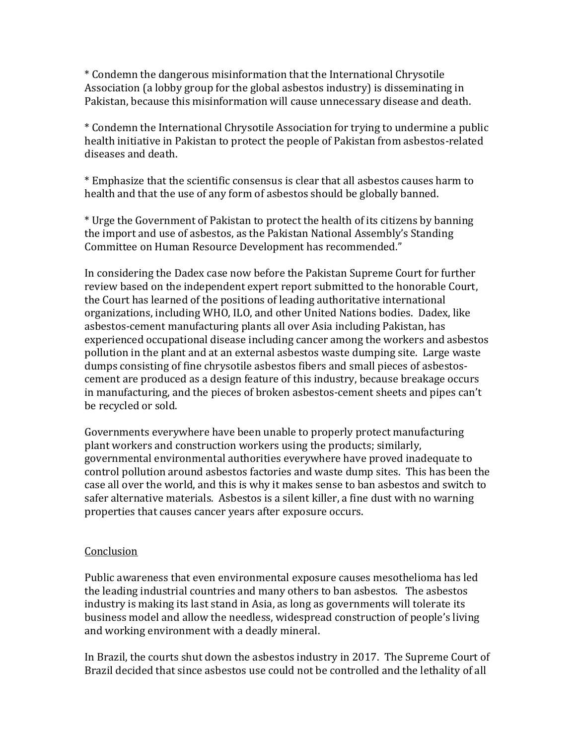\* Condemn the dangerous misinformation that the International Chrysotile Association (a lobby group for the global asbestos industry) is disseminating in Pakistan, because this misinformation will cause unnecessary disease and death.

\* Condemn the International Chrysotile Association for trying to undermine a public health initiative in Pakistan to protect the people of Pakistan from asbestos-related diseases and death.

\* Emphasize that the scientific consensus is clear that all asbestos causes harm to health and that the use of any form of asbestos should be globally banned.

\* Urge the Government of Pakistan to protect the health of its citizens by banning the import and use of asbestos, as the Pakistan National Assembly's Standing Committee on Human Resource Development has recommended."

In considering the Dadex case now before the Pakistan Supreme Court for further review based on the independent expert report submitted to the honorable Court, the Court has learned of the positions of leading authoritative international organizations, including WHO, ILO, and other United Nations bodies. Dadex, like asbestos-cement manufacturing plants all over Asia including Pakistan, has experienced occupational disease including cancer among the workers and asbestos pollution in the plant and at an external asbestos waste dumping site. Large waste dumps consisting of fine chrysotile asbestos fibers and small pieces of asbestoscement are produced as a design feature of this industry, because breakage occurs in manufacturing, and the pieces of broken asbestos-cement sheets and pipes can't be recycled or sold.

Governments everywhere have been unable to properly protect manufacturing plant workers and construction workers using the products; similarly, governmental environmental authorities everywhere have proved inadequate to control pollution around asbestos factories and waste dump sites. This has been the case all over the world, and this is why it makes sense to ban asbestos and switch to safer alternative materials. Asbestos is a silent killer, a fine dust with no warning properties that causes cancer years after exposure occurs.

## **Conclusion**

Public awareness that even environmental exposure causes mesothelioma has led the leading industrial countries and many others to ban asbestos. The asbestos industry is making its last stand in Asia, as long as governments will tolerate its business model and allow the needless, widespread construction of people's living and working environment with a deadly mineral.

In Brazil, the courts shut down the asbestos industry in 2017. The Supreme Court of Brazil decided that since asbestos use could not be controlled and the lethality of all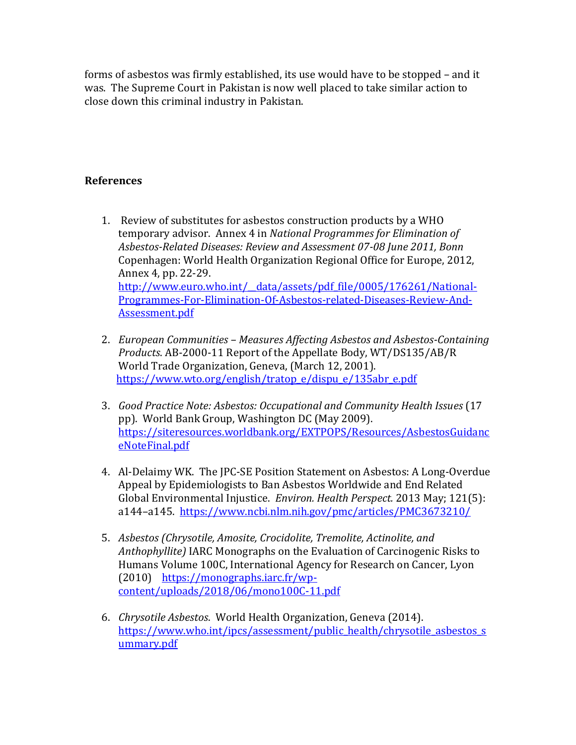forms of asbestos was firmly established, its use would have to be stopped – and it was. The Supreme Court in Pakistan is now well placed to take similar action to close down this criminal industry in Pakistan.

# **References**

- 1. Review of substitutes for asbestos construction products by a WHO temporary advisor. Annex 4 in *National Programmes for Elimination of Asbestos-Related Diseases: Review and Assessment 07-08 June 2011, Bonn* Copenhagen: World Health Organization Regional Office for Europe, 2012, Annex 4, pp. 22-29. [http://www.euro.who.int/\\_\\_data/assets/pdf\\_file/0005/176261/National-](http://www.euro.who.int/__data/assets/pdf_file/0005/176261/National-Programmes-For-Elimination-Of-Asbestos-related-Diseases-Review-And-Assessment.pdf)[Programmes-For-Elimination-Of-Asbestos-related-Diseases-Review-And-](http://www.euro.who.int/__data/assets/pdf_file/0005/176261/National-Programmes-For-Elimination-Of-Asbestos-related-Diseases-Review-And-Assessment.pdf)[Assessment.pdf](http://www.euro.who.int/__data/assets/pdf_file/0005/176261/National-Programmes-For-Elimination-Of-Asbestos-related-Diseases-Review-And-Assessment.pdf)
- 2. *European Communities – Measures Affecting Asbestos and Asbestos-Containing Products*. AB-2000-11 Report of the Appellate Body, WT/DS135/AB/R World Trade Organization, Geneva, (March 12, 2001). [https://www.wto.org/english/tratop\\_e/dispu\\_e/135abr\\_e.pdf](https://www.wto.org/english/tratop_e/dispu_e/135abr_e.pdf)
- 3. *Good Practice Note: Asbestos: Occupational and Community Health Issues* (17 pp). World Bank Group, Washington DC (May 2009). [https://siteresources.worldbank.org/EXTPOPS/Resources/AsbestosGuidanc](https://siteresources.worldbank.org/EXTPOPS/Resources/AsbestosGuidanceNoteFinal.pdf) [eNoteFinal.pdf](https://siteresources.worldbank.org/EXTPOPS/Resources/AsbestosGuidanceNoteFinal.pdf)
- 4. Al-Delaimy WK. The JPC-SE Position Statement on Asbestos: A Long-Overdue Appeal by Epidemiologists to Ban Asbestos Worldwide and End Related Global Environmental Injustice. *Environ. Health Perspect.* 2013 May; 121(5): a144–a145. <https://www.ncbi.nlm.nih.gov/pmc/articles/PMC3673210/>
- 5. *Asbestos (Chrysotile, Amosite, Crocidolite, Tremolite, Actinolite, and Anthophyllite)* IARC Monographs on the Evaluation of Carcinogenic Risks to Humans Volume 100C, International Agency for Research on Cancer, Lyon (2010) [https://monographs.iarc.fr/wp](https://monographs.iarc.fr/wp-content/uploads/2018/06/mono100C-11.pdf)[content/uploads/2018/06/mono100C-11.pdf](https://monographs.iarc.fr/wp-content/uploads/2018/06/mono100C-11.pdf)
- 6. *Chrysotile Asbestos*. World Health Organization, Geneva (2014). [https://www.who.int/ipcs/assessment/public\\_health/chrysotile\\_asbestos\\_s](https://www.who.int/ipcs/assessment/public_health/chrysotile_asbestos_summary.pdf) [ummary.pdf](https://www.who.int/ipcs/assessment/public_health/chrysotile_asbestos_summary.pdf)